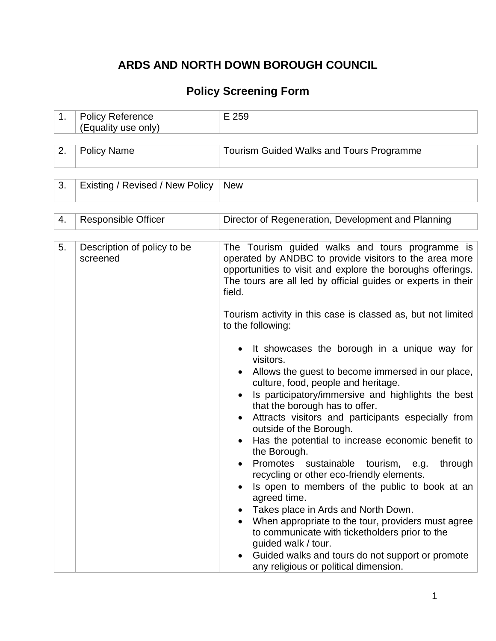# **ARDS AND NORTH DOWN BOROUGH COUNCIL**

## **Policy Screening Form**

| 1. | <b>Policy Reference</b><br>(Equality use only) | E 259                                                                                                                                                                                                                                                                                                                                                                                                                                                                                                                                                                                                                                                                                                                                                                                                                                                                                                                                                                                                                                                                                                                                                                            |
|----|------------------------------------------------|----------------------------------------------------------------------------------------------------------------------------------------------------------------------------------------------------------------------------------------------------------------------------------------------------------------------------------------------------------------------------------------------------------------------------------------------------------------------------------------------------------------------------------------------------------------------------------------------------------------------------------------------------------------------------------------------------------------------------------------------------------------------------------------------------------------------------------------------------------------------------------------------------------------------------------------------------------------------------------------------------------------------------------------------------------------------------------------------------------------------------------------------------------------------------------|
| 2. | <b>Policy Name</b>                             | <b>Tourism Guided Walks and Tours Programme</b>                                                                                                                                                                                                                                                                                                                                                                                                                                                                                                                                                                                                                                                                                                                                                                                                                                                                                                                                                                                                                                                                                                                                  |
| 3. | Existing / Revised / New Policy                | <b>New</b>                                                                                                                                                                                                                                                                                                                                                                                                                                                                                                                                                                                                                                                                                                                                                                                                                                                                                                                                                                                                                                                                                                                                                                       |
| 4. | <b>Responsible Officer</b>                     | Director of Regeneration, Development and Planning                                                                                                                                                                                                                                                                                                                                                                                                                                                                                                                                                                                                                                                                                                                                                                                                                                                                                                                                                                                                                                                                                                                               |
| 5. | Description of policy to be<br>screened        | The Tourism guided walks and tours programme is<br>operated by ANDBC to provide visitors to the area more<br>opportunities to visit and explore the boroughs offerings.<br>The tours are all led by official guides or experts in their<br>field.<br>Tourism activity in this case is classed as, but not limited<br>to the following:<br>It showcases the borough in a unique way for<br>visitors.<br>Allows the guest to become immersed in our place,<br>culture, food, people and heritage.<br>Is participatory/immersive and highlights the best<br>that the borough has to offer.<br>Attracts visitors and participants especially from<br>outside of the Borough.<br>Has the potential to increase economic benefit to<br>the Borough.<br>Promotes sustainable tourism, e.g.<br>through<br>recycling or other eco-friendly elements.<br>Is open to members of the public to book at an<br>agreed time.<br>Takes place in Ards and North Down.<br>When appropriate to the tour, providers must agree<br>to communicate with ticketholders prior to the<br>guided walk / tour.<br>Guided walks and tours do not support or promote<br>any religious or political dimension. |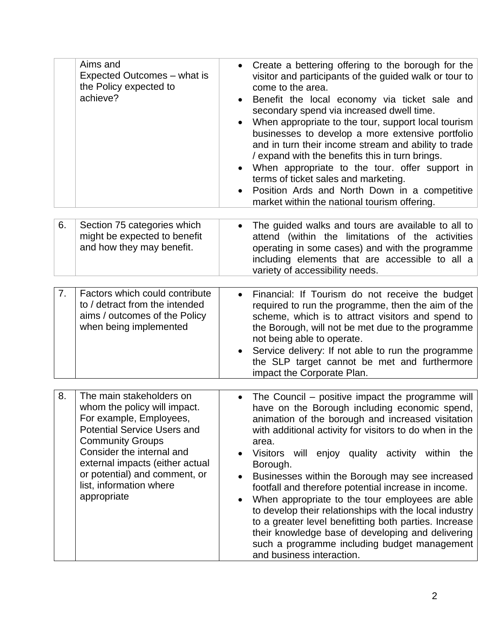|    | Aims and<br>Expected Outcomes – what is<br>the Policy expected to<br>achieve?                                                                                                                                                                                                                   | Create a bettering offering to the borough for the<br>visitor and participants of the guided walk or tour to<br>come to the area.<br>Benefit the local economy via ticket sale and<br>secondary spend via increased dwell time.<br>When appropriate to the tour, support local tourism<br>businesses to develop a more extensive portfolio<br>and in turn their income stream and ability to trade<br>/ expand with the benefits this in turn brings.<br>When appropriate to the tour. offer support in<br>terms of ticket sales and marketing.<br>Position Ards and North Down in a competitive<br>market within the national tourism offering.                                                                                                                 |
|----|-------------------------------------------------------------------------------------------------------------------------------------------------------------------------------------------------------------------------------------------------------------------------------------------------|------------------------------------------------------------------------------------------------------------------------------------------------------------------------------------------------------------------------------------------------------------------------------------------------------------------------------------------------------------------------------------------------------------------------------------------------------------------------------------------------------------------------------------------------------------------------------------------------------------------------------------------------------------------------------------------------------------------------------------------------------------------|
| 6. | Section 75 categories which<br>might be expected to benefit<br>and how they may benefit.                                                                                                                                                                                                        | The guided walks and tours are available to all to<br>attend (within the limitations of the activities<br>operating in some cases) and with the programme<br>including elements that are accessible to all a<br>variety of accessibility needs.                                                                                                                                                                                                                                                                                                                                                                                                                                                                                                                  |
| 7. | Factors which could contribute<br>to / detract from the intended<br>aims / outcomes of the Policy<br>when being implemented                                                                                                                                                                     | Financial: If Tourism do not receive the budget<br>required to run the programme, then the aim of the<br>scheme, which is to attract visitors and spend to<br>the Borough, will not be met due to the programme<br>not being able to operate.<br>Service delivery: If not able to run the programme<br>the SLP target cannot be met and furthermore<br>impact the Corporate Plan.                                                                                                                                                                                                                                                                                                                                                                                |
| 8. | The main stakeholders on<br>whom the policy will impact.<br>For example, Employees,<br><b>Potential Service Users and</b><br><b>Community Groups</b><br>Consider the internal and<br>external impacts (either actual<br>or potential) and comment, or<br>list, information where<br>appropriate | The Council – positive impact the programme will<br>$\bullet$<br>have on the Borough including economic spend,<br>animation of the borough and increased visitation<br>with additional activity for visitors to do when in the<br>area.<br>Visitors will enjoy quality activity within the<br>$\bullet$<br>Borough.<br>Businesses within the Borough may see increased<br>$\bullet$<br>footfall and therefore potential increase in income.<br>When appropriate to the tour employees are able<br>$\bullet$<br>to develop their relationships with the local industry<br>to a greater level benefitting both parties. Increase<br>their knowledge base of developing and delivering<br>such a programme including budget management<br>and business interaction. |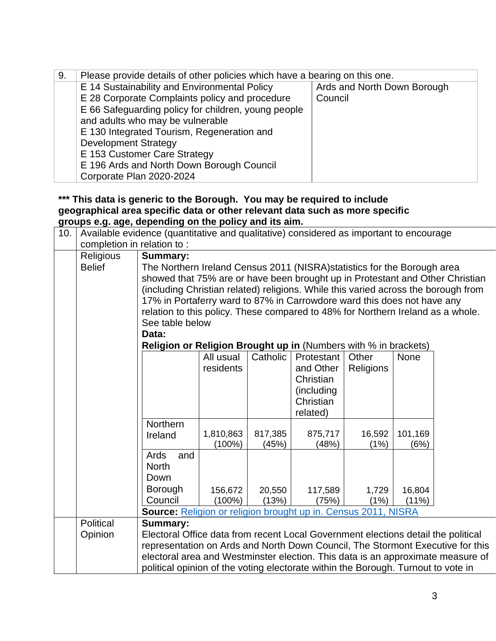| 9. | Please provide details of other policies which have a bearing on this one. |                             |  |  |  |  |  |
|----|----------------------------------------------------------------------------|-----------------------------|--|--|--|--|--|
|    | E 14 Sustainability and Environmental Policy                               | Ards and North Down Borough |  |  |  |  |  |
|    | E 28 Corporate Complaints policy and procedure                             | Council                     |  |  |  |  |  |
|    | E 66 Safeguarding policy for children, young people                        |                             |  |  |  |  |  |
|    | and adults who may be vulnerable                                           |                             |  |  |  |  |  |
|    | E 130 Integrated Tourism, Regeneration and                                 |                             |  |  |  |  |  |
|    | <b>Development Strategy</b>                                                |                             |  |  |  |  |  |
|    | E 153 Customer Care Strategy                                               |                             |  |  |  |  |  |
|    | E 196 Ards and North Down Borough Council                                  |                             |  |  |  |  |  |
|    | Corporate Plan 2020-2024                                                   |                             |  |  |  |  |  |

#### **\*\*\* This data is generic to the Borough. You may be required to include geographical area specific data or other relevant data such as more specific groups e.g. age, depending on the policy and its aim.**

| 10. |                            | Available evidence (quantitative and qualitative) considered as important to encourage |                                                                                 |          |             |           |             |                                                                                 |  |
|-----|----------------------------|----------------------------------------------------------------------------------------|---------------------------------------------------------------------------------|----------|-------------|-----------|-------------|---------------------------------------------------------------------------------|--|
|     | completion in relation to: |                                                                                        |                                                                                 |          |             |           |             |                                                                                 |  |
|     | Religious                  | <b>Summary:</b>                                                                        |                                                                                 |          |             |           |             |                                                                                 |  |
|     | <b>Belief</b>              | The Northern Ireland Census 2011 (NISRA) statistics for the Borough area               |                                                                                 |          |             |           |             |                                                                                 |  |
|     |                            | showed that 75% are or have been brought up in Protestant and Other Christian          |                                                                                 |          |             |           |             |                                                                                 |  |
|     |                            | (including Christian related) religions. While this varied across the borough from     |                                                                                 |          |             |           |             |                                                                                 |  |
|     |                            |                                                                                        | 17% in Portaferry ward to 87% in Carrowdore ward this does not have any         |          |             |           |             |                                                                                 |  |
|     |                            |                                                                                        | relation to this policy. These compared to 48% for Northern Ireland as a whole. |          |             |           |             |                                                                                 |  |
|     |                            |                                                                                        | See table below                                                                 |          |             |           |             |                                                                                 |  |
|     |                            | Data:                                                                                  |                                                                                 |          |             |           |             |                                                                                 |  |
|     |                            | Religion or Religion Brought up in (Numbers with % in brackets)                        |                                                                                 |          |             |           |             |                                                                                 |  |
|     |                            |                                                                                        | All usual                                                                       | Catholic | Protestant  | Other     | <b>None</b> |                                                                                 |  |
|     |                            |                                                                                        | residents                                                                       |          | and Other   | Religions |             |                                                                                 |  |
|     |                            |                                                                                        |                                                                                 |          | Christian   |           |             |                                                                                 |  |
|     |                            |                                                                                        |                                                                                 |          | (including) |           |             |                                                                                 |  |
|     |                            |                                                                                        |                                                                                 |          | Christian   |           |             |                                                                                 |  |
|     |                            |                                                                                        |                                                                                 |          | related)    |           |             |                                                                                 |  |
|     |                            | Northern                                                                               | 1,810,863                                                                       | 817,385  | 875,717     | 16,592    | 101,169     |                                                                                 |  |
|     |                            | Ireland                                                                                | $(100\%)$                                                                       | (45%)    | (48%)       | (1%)      | (6%)        |                                                                                 |  |
|     |                            | Ards<br>and                                                                            |                                                                                 |          |             |           |             |                                                                                 |  |
|     |                            | <b>North</b>                                                                           |                                                                                 |          |             |           |             |                                                                                 |  |
|     |                            | Down                                                                                   |                                                                                 |          |             |           |             |                                                                                 |  |
|     |                            | <b>Borough</b>                                                                         | 156,672                                                                         | 20,550   | 117,589     | 1,729     | 16,804      |                                                                                 |  |
|     |                            | Council                                                                                | $(100\%)$                                                                       | (13%)    | (75%)       | (1%)      | $(11\%)$    |                                                                                 |  |
|     |                            | Source: Religion or religion brought up in. Census 2011, NISRA                         |                                                                                 |          |             |           |             |                                                                                 |  |
|     | Political                  | <b>Summary:</b>                                                                        |                                                                                 |          |             |           |             |                                                                                 |  |
|     | Opinion                    | Electoral Office data from recent Local Government elections detail the political      |                                                                                 |          |             |           |             |                                                                                 |  |
|     |                            |                                                                                        |                                                                                 |          |             |           |             | representation on Ards and North Down Council, The Stormont Executive for this  |  |
|     |                            |                                                                                        |                                                                                 |          |             |           |             | electoral area and Westminster election. This data is an approximate measure of |  |
|     |                            | political opinion of the voting electorate within the Borough. Turnout to vote in      |                                                                                 |          |             |           |             |                                                                                 |  |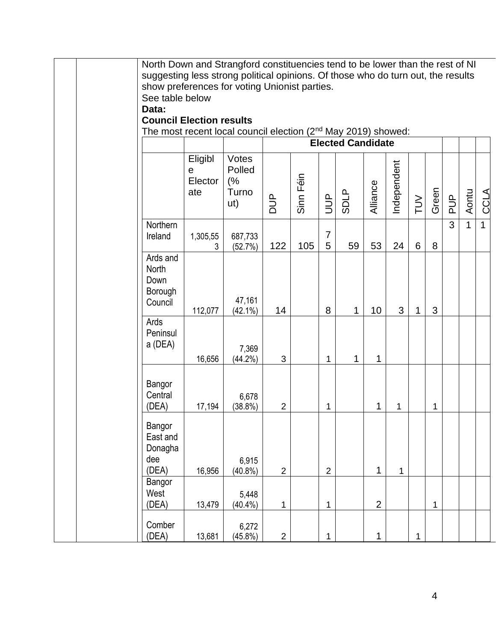|                                                         | North Down and Strangford constituencies tend to be lower than the rest of NI    |                                       |                |           |                     |                          |                |              |              |       |               |              |              |
|---------------------------------------------------------|----------------------------------------------------------------------------------|---------------------------------------|----------------|-----------|---------------------|--------------------------|----------------|--------------|--------------|-------|---------------|--------------|--------------|
|                                                         | suggesting less strong political opinions. Of those who do turn out, the results |                                       |                |           |                     |                          |                |              |              |       |               |              |              |
|                                                         | show preferences for voting Unionist parties.                                    |                                       |                |           |                     |                          |                |              |              |       |               |              |              |
|                                                         | See table below                                                                  |                                       |                |           |                     |                          |                |              |              |       |               |              |              |
| Data:                                                   |                                                                                  |                                       |                |           |                     |                          |                |              |              |       |               |              |              |
|                                                         | <b>Council Election results</b>                                                  |                                       |                |           |                     |                          |                |              |              |       |               |              |              |
|                                                         | The most recent local council election (2nd May 2019) showed:                    |                                       |                |           |                     |                          |                |              |              |       |               |              |              |
|                                                         |                                                                                  |                                       |                |           |                     | <b>Elected Candidate</b> |                |              |              |       |               |              |              |
|                                                         | Eligibl<br>e<br>Elector<br>ate                                                   | Votes<br>Polled<br>(%<br>Turno<br>ut) | $\frac{1}{2}$  | Sinn Féin | $\exists$           | <b>SDLP</b>              | Alliance       | Independent  | NUT          | Green | $\frac{p}{q}$ | Aontu        | <b>CCLA</b>  |
| Northern<br>Ireland                                     | 1,305,55<br>3                                                                    | 687,733<br>(52.7%)                    | 122            | 105       | $\overline{7}$<br>5 | 59                       | 53             | 24           | 6            | 8     | 3             | $\mathbf{1}$ | $\mathbf{1}$ |
| Ards and<br>North<br>Down<br>Borough<br>Council         | 112,077                                                                          | 47,161<br>$(42.1\%)$                  | 14             |           | 8                   | 1                        | 10             | 3            | 1            | 3     |               |              |              |
| Ards<br>Peninsul<br>a (DEA)                             | 16,656                                                                           | 7,369<br>$(44.2\%)$                   | 3              |           | 1                   | 1                        | 1              |              |              |       |               |              |              |
| Bangor<br>Central<br>(DEA)                              | 17,194                                                                           | 6,678<br>$(38.8\%)$                   | $\overline{c}$ |           | 1                   |                          | 1              | 1            |              | 1     |               |              |              |
| Bangor<br>East and<br>Donagha<br>dee<br>(DEA)<br>Bangor | 16,956                                                                           | 6,915<br>$(40.8\%)$                   | $\overline{2}$ |           | $\overline{2}$      |                          | 1              | $\mathbf{1}$ |              |       |               |              |              |
| West<br>(DEA)                                           | 13,479                                                                           | 5,448<br>$(40.4\%)$                   | 1              |           | 1                   |                          | $\overline{2}$ |              |              | 1     |               |              |              |
| Comber<br>(DEA)                                         | 13,681                                                                           | 6,272<br>(45.8%)                      | $\overline{2}$ |           | $\mathbf 1$         |                          | 1              |              | $\mathbf{1}$ |       |               |              |              |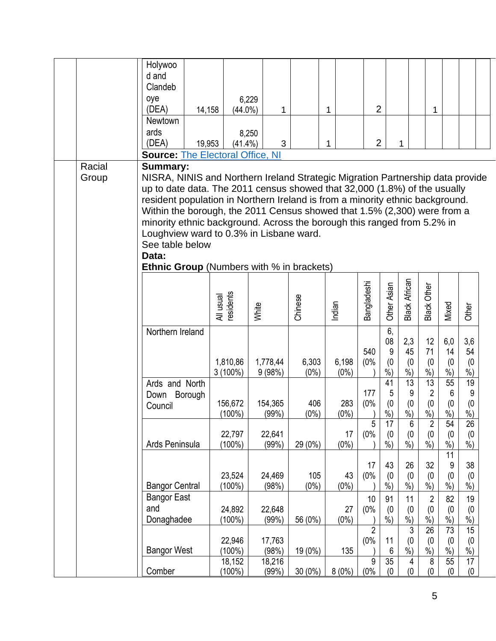|        | Holywoo                                                                                                                                                   |                        |                  |                |                |                |              |                      |                      |                 |              |  |
|--------|-----------------------------------------------------------------------------------------------------------------------------------------------------------|------------------------|------------------|----------------|----------------|----------------|--------------|----------------------|----------------------|-----------------|--------------|--|
|        | d and<br>Clandeb                                                                                                                                          |                        |                  |                |                |                |              |                      |                      |                 |              |  |
|        | oye                                                                                                                                                       |                        | 6,229            |                |                |                |              |                      |                      |                 |              |  |
|        | (DEA)<br>14,158                                                                                                                                           | $(44.0\%)$             | 1                |                | 1              | $\overline{2}$ |              |                      | 1                    |                 |              |  |
|        | Newtown                                                                                                                                                   |                        |                  |                |                |                |              |                      |                      |                 |              |  |
|        | ards                                                                                                                                                      |                        | 8,250            |                |                |                |              |                      |                      |                 |              |  |
|        | (DEA)<br>19,953                                                                                                                                           | $(41.4\%)$             | 3                |                | 1              | $\overline{2}$ |              | 1                    |                      |                 |              |  |
|        | <b>Source: The Electoral Office, NI</b>                                                                                                                   |                        |                  |                |                |                |              |                      |                      |                 |              |  |
| Racial | <b>Summary:</b>                                                                                                                                           |                        |                  |                |                |                |              |                      |                      |                 |              |  |
| Group  | NISRA, NINIS and Northern Ireland Strategic Migration Partnership data provide                                                                            |                        |                  |                |                |                |              |                      |                      |                 |              |  |
|        | up to date data. The 2011 census showed that 32,000 (1.8%) of the usually                                                                                 |                        |                  |                |                |                |              |                      |                      |                 |              |  |
|        | resident population in Northern Ireland is from a minority ethnic background.<br>Within the borough, the 2011 Census showed that 1.5% (2,300) were from a |                        |                  |                |                |                |              |                      |                      |                 |              |  |
|        | minority ethnic background. Across the borough this ranged from 5.2% in                                                                                   |                        |                  |                |                |                |              |                      |                      |                 |              |  |
|        | Loughview ward to 0.3% in Lisbane ward.                                                                                                                   |                        |                  |                |                |                |              |                      |                      |                 |              |  |
|        | See table below                                                                                                                                           |                        |                  |                |                |                |              |                      |                      |                 |              |  |
|        | Data:                                                                                                                                                     |                        |                  |                |                |                |              |                      |                      |                 |              |  |
|        | <b>Ethnic Group</b> (Numbers with % in brackets)                                                                                                          |                        |                  |                |                |                |              |                      |                      |                 |              |  |
|        |                                                                                                                                                           |                        |                  |                |                |                |              |                      |                      |                 |              |  |
|        |                                                                                                                                                           |                        |                  |                |                | Bangladeshi    | Other Asian  | <b>Black African</b> | <b>Black Other</b>   |                 |              |  |
|        |                                                                                                                                                           | All usual<br>residents | White            | Chinese        | Indian         |                |              |                      |                      | Mixed           | <b>Other</b> |  |
|        |                                                                                                                                                           |                        |                  |                |                |                |              |                      |                      |                 |              |  |
|        | Northern Ireland                                                                                                                                          |                        |                  |                |                |                | 6,           |                      |                      |                 |              |  |
|        |                                                                                                                                                           |                        |                  |                |                |                | 08           | 2,3                  | 12                   | 6,0             | 3,6          |  |
|        |                                                                                                                                                           | 1,810,86               | 1,778,44         | 6,303          | 6,198          | 540<br>(0%     | 9<br>(0)     | 45<br>(0)            | 71<br>(0)            | 14<br>(0)       | 54<br>(0)    |  |
|        |                                                                                                                                                           | $3(100\%)$             | 9(98%)           | $(0\%)$        | $(0\%)$        |                | $%$ )        | %                    | $\frac{6}{6}$        | $\%$            | $%$ )        |  |
|        | Ards and North                                                                                                                                            |                        |                  |                |                |                | 41           | 13                   | $\overline{13}$      | 55              | 19           |  |
|        | Down Borough                                                                                                                                              |                        |                  |                |                | 177            | 5            | 9                    | $\overline{2}$       | $6\phantom{1}6$ | 9            |  |
|        | Council                                                                                                                                                   | 156,672<br>$(100\%)$   | 154,365<br>(99%) | 406<br>$(0\%)$ | 283<br>$(0\%)$ | (0%            | (0)<br>$%$ ) | (0)<br>$%$ )         | (0)<br>$\frac{9}{0}$ | (0)<br>$%$ )    | (0)<br>$%$ ) |  |
|        |                                                                                                                                                           |                        |                  |                |                | $\mathbf 5$    | 17           | 6                    | $\overline{c}$       | 54              | 26           |  |
|        |                                                                                                                                                           | 22,797                 | 22,641           |                | 17             | (0%            | (0)          | (0)                  | (0)                  | (0)             | (0)          |  |
|        | Ards Peninsula                                                                                                                                            | $(100\%)$              | (99%             | 29 (0%)        | $(0\%)$        |                | $%$ )        | $\frac{9}{6}$        | $%$ )                | $%$ )           | $%$ )        |  |
|        |                                                                                                                                                           |                        |                  |                |                |                |              |                      |                      | $\overline{11}$ |              |  |
|        |                                                                                                                                                           | 23,524                 | 24,469           | 105            | 43             | 17<br>(0%      | 43<br>(0)    | 26                   | 32                   | 9               | 38           |  |
|        | <b>Bangor Central</b>                                                                                                                                     | $(100\%)$              | (98%)            | $(0\%)$        | (0%)           |                | $%$ )        | (0)<br>$%$ )         | (0)<br>$%$ )         | (0)<br>%        | (0)<br>$%$ ) |  |
|        | <b>Bangor East</b>                                                                                                                                        |                        |                  |                |                | 10             | 91           | 11                   | $\overline{2}$       | 82              | 19           |  |
|        | and                                                                                                                                                       | 24,892                 | 22,648           |                | 27             | (0%            | (0)          | (0)                  | (0)                  | (0)             | (0)          |  |
|        | Donaghadee                                                                                                                                                | $(100\%)$              | (99%)            | 56 (0%)        | $(0\%)$        |                | $%$ )        | %                    | $%$ )                | $%$ )           | %)           |  |
|        |                                                                                                                                                           |                        |                  |                |                | $\overline{2}$ |              | 3                    | $\overline{26}$      | $\overline{73}$ | 15           |  |
|        |                                                                                                                                                           | 22,946                 | 17,763           |                |                | (0%            | 11           | (0)                  | (0)                  | (0)             | (0)          |  |
|        | <b>Bangor West</b>                                                                                                                                        | (100%)<br>18,152       | (98%)<br>18,216  | 19 (0%)        | 135            | $9\,$          | 6<br>35      | %<br>4               | %<br>$\bf 8$         | $%$ )<br>55     | $\%$<br>17   |  |
|        | Comber                                                                                                                                                    | $(100\%)$              | (99%)            | $30(0\%)$      | 8(0%)          | (0%            | (0)          | (0)                  | (0)                  | (0)             | (0)          |  |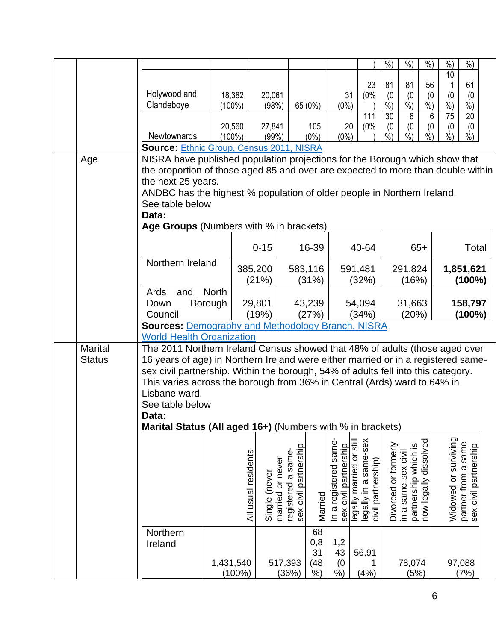|                |                                                                                                        |                        |                                   |                                             |            |                       |                                                   | %                    | $%$ )                                       | $%$ )       | $\frac{0}{0}$        | %                     |  |
|----------------|--------------------------------------------------------------------------------------------------------|------------------------|-----------------------------------|---------------------------------------------|------------|-----------------------|---------------------------------------------------|----------------------|---------------------------------------------|-------------|----------------------|-----------------------|--|
|                |                                                                                                        |                        |                                   |                                             |            |                       | 23                                                | 81                   | 81                                          | 56          | 10                   | 61                    |  |
|                | Holywood and                                                                                           | 18,382                 | 20,061                            |                                             |            | 31                    | (0%                                               | (0)                  | (0)                                         | (0)         | (0)                  | (0)                   |  |
|                | Clandeboye                                                                                             | $(100\%)$              | (98%)                             |                                             | 65 (0%)    | $(0\%)$               |                                                   | $%$ )                | $%$ )                                       | %           | $%$ )                | %                     |  |
|                |                                                                                                        |                        |                                   |                                             |            |                       | 111                                               | 30                   | 8                                           | 6           | 75                   | $\overline{20}$       |  |
|                |                                                                                                        | 20,560                 | 27,841                            |                                             | 105        | 20                    | (0%                                               | (0)                  | (0)                                         | (0)         | (0)                  | (0)                   |  |
|                | Newtownards                                                                                            | $(100\%)$              | (99%)                             |                                             | $(0\%)$    | $(0\%)$               |                                                   | %                    | %)                                          | $%$ )       | $%$ )                | $%$ )                 |  |
|                | <b>Source: Ethnic Group, Census 2011, NISRA</b>                                                        |                        |                                   |                                             |            |                       |                                                   |                      |                                             |             |                      |                       |  |
| Age            | NISRA have published population projections for the Borough which show that                            |                        |                                   |                                             |            |                       |                                                   |                      |                                             |             |                      |                       |  |
|                | the proportion of those aged 85 and over are expected to more than double within<br>the next 25 years. |                        |                                   |                                             |            |                       |                                                   |                      |                                             |             |                      |                       |  |
|                | ANDBC has the highest % population of older people in Northern Ireland.                                |                        |                                   |                                             |            |                       |                                                   |                      |                                             |             |                      |                       |  |
|                | See table below                                                                                        |                        |                                   |                                             |            |                       |                                                   |                      |                                             |             |                      |                       |  |
|                | Data:                                                                                                  |                        |                                   |                                             |            |                       |                                                   |                      |                                             |             |                      |                       |  |
|                | Age Groups (Numbers with % in brackets)                                                                |                        |                                   |                                             |            |                       |                                                   |                      |                                             |             |                      |                       |  |
|                |                                                                                                        |                        |                                   |                                             |            |                       |                                                   |                      |                                             |             |                      |                       |  |
|                |                                                                                                        |                        | $0 - 15$                          |                                             | 16-39      |                       | 40-64                                             |                      |                                             | $65+$       |                      | Total                 |  |
|                | Northern Ireland                                                                                       |                        |                                   |                                             |            |                       |                                                   |                      |                                             |             |                      |                       |  |
|                |                                                                                                        |                        | 385,200                           |                                             | 583,116    |                       | 591,481                                           |                      | 291,824                                     |             |                      | 1,851,621             |  |
|                | Ards<br>and                                                                                            | <b>North</b>           | (21%)                             |                                             | (31%)      |                       | (32%)                                             |                      | (16%)                                       |             |                      | $(100\%)$             |  |
|                | Down                                                                                                   | Borough                | 29,801                            |                                             | 43,239     |                       | 54,094                                            |                      | 31,663                                      |             |                      | 158,797               |  |
|                | Council                                                                                                |                        | (19%)                             |                                             | (27%)      |                       | (34%)                                             |                      | (20%)                                       |             |                      | $(100\%)$             |  |
|                | <b>Sources: Demography and Methodology Branch, NISRA</b>                                               |                        |                                   |                                             |            |                       |                                                   |                      |                                             |             |                      |                       |  |
|                | <b>World Health Organization</b>                                                                       |                        |                                   |                                             |            |                       |                                                   |                      |                                             |             |                      |                       |  |
| <b>Marital</b> | The 2011 Northern Ireland Census showed that 48% of adults (those aged over                            |                        |                                   |                                             |            |                       |                                                   |                      |                                             |             |                      |                       |  |
| <b>Status</b>  | 16 years of age) in Northern Ireland were either married or in a registered same-                      |                        |                                   |                                             |            |                       |                                                   |                      |                                             |             |                      |                       |  |
|                | sex civil partnership. Within the borough, 54% of adults fell into this category.                      |                        |                                   |                                             |            |                       |                                                   |                      |                                             |             |                      |                       |  |
|                | This varies across the borough from 36% in Central (Ards) ward to 64% in                               |                        |                                   |                                             |            |                       |                                                   |                      |                                             |             |                      |                       |  |
|                | Lisbane ward.<br>See table below                                                                       |                        |                                   |                                             |            |                       |                                                   |                      |                                             |             |                      |                       |  |
|                | Data:                                                                                                  |                        |                                   |                                             |            |                       |                                                   |                      |                                             |             |                      |                       |  |
|                | Marital Status (All aged 16+) (Numbers with % in brackets)                                             |                        |                                   |                                             |            |                       |                                                   |                      |                                             |             |                      |                       |  |
|                |                                                                                                        |                        |                                   |                                             |            |                       |                                                   |                      |                                             |             |                      |                       |  |
|                |                                                                                                        |                        |                                   |                                             |            | In a registered same  | legally married or still<br>legally in a same-sex |                      |                                             | dissolved   | Widowed or surviving | partner from a same-  |  |
|                |                                                                                                        |                        | All usual residents               | registered a same-<br>sex civil partnership |            | sex civil partnership |                                                   | Divorced or formerly | partnership which is<br>in a same-sex civil |             |                      | sex civil partnership |  |
|                |                                                                                                        |                        |                                   |                                             |            |                       |                                                   |                      |                                             |             |                      |                       |  |
|                |                                                                                                        |                        |                                   |                                             |            |                       |                                                   |                      |                                             |             |                      |                       |  |
|                |                                                                                                        |                        | married or never<br>Single (never |                                             |            |                       | civil partnership)                                |                      |                                             | now legally |                      |                       |  |
|                |                                                                                                        |                        |                                   |                                             | Married    |                       |                                                   |                      |                                             |             |                      |                       |  |
|                |                                                                                                        |                        |                                   |                                             |            |                       |                                                   |                      |                                             |             |                      |                       |  |
|                | Northern                                                                                               |                        |                                   |                                             | 68         |                       |                                                   |                      |                                             |             |                      |                       |  |
|                | Ireland                                                                                                |                        |                                   |                                             | 0,8        | 1,2                   |                                                   |                      |                                             |             |                      |                       |  |
|                |                                                                                                        |                        |                                   | 517,393                                     | 31<br>(48) | 43                    | 56,91<br>1                                        |                      | 78,074                                      |             | 97,088               |                       |  |
|                |                                                                                                        |                        |                                   |                                             |            |                       |                                                   |                      |                                             |             |                      |                       |  |
|                |                                                                                                        | 1,431,540<br>$(100\%)$ |                                   | (36%)                                       | $%$ )      | (0)<br>%)             | (4%)                                              |                      | (5%)                                        |             |                      | (7%)                  |  |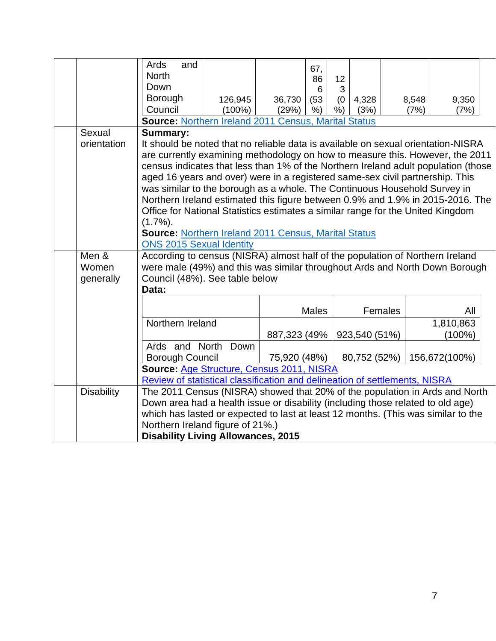|                             | Ards<br>and<br><b>North</b><br>Down<br>Borough<br>Council<br>Source: Northern Ireland 2011 Census, Marital Status                                                                                                                                                                                                                                                                                                                                                                                                                                                                                                                                                                                                                                                                                                | 126,945<br>$(100\%)$ | 36,730<br>(29%)              | 67,<br>86<br>6<br>(53)<br>$%$ ) | 12<br>3<br>(0)<br>% | 4,328<br>(3%)                 | 8,548<br>(7%) | 9,350<br>(7%)                                  |  |
|-----------------------------|------------------------------------------------------------------------------------------------------------------------------------------------------------------------------------------------------------------------------------------------------------------------------------------------------------------------------------------------------------------------------------------------------------------------------------------------------------------------------------------------------------------------------------------------------------------------------------------------------------------------------------------------------------------------------------------------------------------------------------------------------------------------------------------------------------------|----------------------|------------------------------|---------------------------------|---------------------|-------------------------------|---------------|------------------------------------------------|--|
| Sexual<br>orientation       | <b>Summary:</b><br>It should be noted that no reliable data is available on sexual orientation-NISRA<br>are currently examining methodology on how to measure this. However, the 2011<br>census indicates that less than 1% of the Northern Ireland adult population (those<br>aged 16 years and over) were in a registered same-sex civil partnership. This<br>was similar to the borough as a whole. The Continuous Household Survey in<br>Northern Ireland estimated this figure between 0.9% and 1.9% in 2015-2016. The<br>Office for National Statistics estimates a similar range for the United Kingdom<br>$(1.7\%)$ .<br><b>Source: Northern Ireland 2011 Census, Marital Status</b><br><b>ONS 2015 Sexual Identity</b><br>According to census (NISRA) almost half of the population of Northern Ireland |                      |                              |                                 |                     |                               |               |                                                |  |
| Men &<br>Women<br>generally | were male (49%) and this was similar throughout Ards and North Down Borough<br>Council (48%). See table below<br>Data:                                                                                                                                                                                                                                                                                                                                                                                                                                                                                                                                                                                                                                                                                           |                      |                              |                                 |                     |                               |               |                                                |  |
|                             | Northern Ireland<br>Ards and North<br><b>Borough Council</b><br>Source: Age Structure, Census 2011, NISRA<br>Review of statistical classification and delineation of settlements, NISRA                                                                                                                                                                                                                                                                                                                                                                                                                                                                                                                                                                                                                          | Down                 | 887,323 (49%<br>75,920 (48%) | <b>Males</b>                    |                     | 923,540 (51%)<br>80,752 (52%) | Females       | All<br>1,810,863<br>$(100\%)$<br>156,672(100%) |  |
| <b>Disability</b>           | The 2011 Census (NISRA) showed that 20% of the population in Ards and North<br>Down area had a health issue or disability (including those related to old age)<br>which has lasted or expected to last at least 12 months. (This was similar to the<br>Northern Ireland figure of 21%.)<br><b>Disability Living Allowances, 2015</b>                                                                                                                                                                                                                                                                                                                                                                                                                                                                             |                      |                              |                                 |                     |                               |               |                                                |  |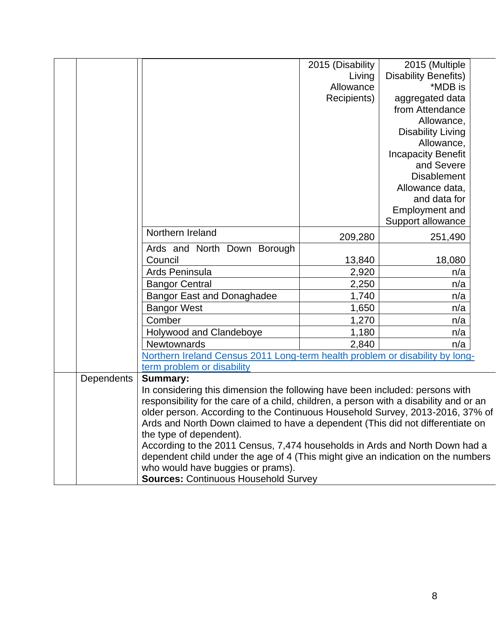|                   |                                                                                        | 2015 (Disability | 2015 (Multiple              |  |  |  |  |
|-------------------|----------------------------------------------------------------------------------------|------------------|-----------------------------|--|--|--|--|
|                   |                                                                                        | Living           | <b>Disability Benefits)</b> |  |  |  |  |
|                   |                                                                                        | Allowance        | *MDB is                     |  |  |  |  |
|                   |                                                                                        | Recipients)      | aggregated data             |  |  |  |  |
|                   |                                                                                        |                  | from Attendance             |  |  |  |  |
|                   |                                                                                        |                  | Allowance,                  |  |  |  |  |
|                   |                                                                                        |                  | <b>Disability Living</b>    |  |  |  |  |
|                   |                                                                                        |                  | Allowance,                  |  |  |  |  |
|                   |                                                                                        |                  | <b>Incapacity Benefit</b>   |  |  |  |  |
|                   |                                                                                        |                  | and Severe                  |  |  |  |  |
|                   |                                                                                        |                  | <b>Disablement</b>          |  |  |  |  |
|                   |                                                                                        |                  | Allowance data,             |  |  |  |  |
|                   |                                                                                        |                  | and data for                |  |  |  |  |
|                   |                                                                                        |                  | Employment and              |  |  |  |  |
|                   |                                                                                        |                  | Support allowance           |  |  |  |  |
|                   | Northern Ireland                                                                       | 209,280          | 251,490                     |  |  |  |  |
|                   | Ards and North Down Borough                                                            |                  |                             |  |  |  |  |
|                   | Council                                                                                | 13,840           | 18,080                      |  |  |  |  |
|                   | Ards Peninsula                                                                         | 2,920            | n/a                         |  |  |  |  |
|                   | <b>Bangor Central</b>                                                                  | 2,250            | n/a                         |  |  |  |  |
|                   | <b>Bangor East and Donaghadee</b>                                                      | 1,740            | n/a                         |  |  |  |  |
|                   | <b>Bangor West</b>                                                                     | 1,650            | n/a                         |  |  |  |  |
|                   | Comber                                                                                 | 1,270            | n/a                         |  |  |  |  |
|                   | Holywood and Clandeboye                                                                | 1,180            | n/a                         |  |  |  |  |
|                   | <b>Newtownards</b>                                                                     | 2,840            | n/a                         |  |  |  |  |
|                   | Northern Ireland Census 2011 Long-term health problem or disability by long-           |                  |                             |  |  |  |  |
|                   | term problem or disability                                                             |                  |                             |  |  |  |  |
| <b>Dependents</b> | <b>Summary:</b>                                                                        |                  |                             |  |  |  |  |
|                   | In considering this dimension the following have been included: persons with           |                  |                             |  |  |  |  |
|                   | responsibility for the care of a child, children, a person with a disability and or an |                  |                             |  |  |  |  |
|                   | older person. According to the Continuous Household Survey, 2013-2016, 37% of          |                  |                             |  |  |  |  |
|                   | Ards and North Down claimed to have a dependent (This did not differentiate on         |                  |                             |  |  |  |  |
|                   | the type of dependent).                                                                |                  |                             |  |  |  |  |
|                   | According to the 2011 Census, 7,474 households in Ards and North Down had a            |                  |                             |  |  |  |  |
|                   | dependent child under the age of 4 (This might give an indication on the numbers       |                  |                             |  |  |  |  |
|                   | who would have buggies or prams).                                                      |                  |                             |  |  |  |  |
|                   | <b>Sources: Continuous Household Survey</b>                                            |                  |                             |  |  |  |  |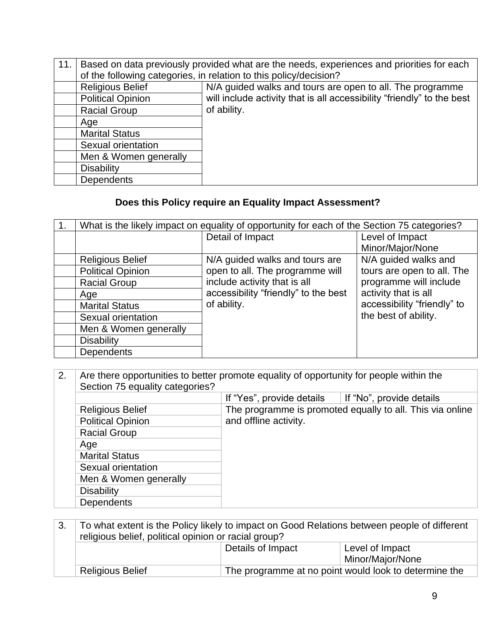| 11. | Based on data previously provided what are the needs, experiences and priorities for each |                                                                        |  |  |  |  |  |  |
|-----|-------------------------------------------------------------------------------------------|------------------------------------------------------------------------|--|--|--|--|--|--|
|     |                                                                                           | of the following categories, in relation to this policy/decision?      |  |  |  |  |  |  |
|     | <b>Religious Belief</b>                                                                   | N/A guided walks and tours are open to all. The programme              |  |  |  |  |  |  |
|     | <b>Political Opinion</b>                                                                  | will include activity that is all accessibility "friendly" to the best |  |  |  |  |  |  |
|     | <b>Racial Group</b>                                                                       | of ability.                                                            |  |  |  |  |  |  |
|     | Age                                                                                       |                                                                        |  |  |  |  |  |  |
|     | <b>Marital Status</b>                                                                     |                                                                        |  |  |  |  |  |  |
|     | Sexual orientation                                                                        |                                                                        |  |  |  |  |  |  |
|     | Men & Women generally                                                                     |                                                                        |  |  |  |  |  |  |
|     | <b>Disability</b>                                                                         |                                                                        |  |  |  |  |  |  |
|     | <b>Dependents</b>                                                                         |                                                                        |  |  |  |  |  |  |

### **Does this Policy require an Equality Impact Assessment?**

| 1. |                          | What is the likely impact on equality of opportunity for each of the Section 75 categories? |                             |
|----|--------------------------|---------------------------------------------------------------------------------------------|-----------------------------|
|    |                          | Detail of Impact                                                                            | Level of Impact             |
|    |                          |                                                                                             | Minor/Major/None            |
|    | <b>Religious Belief</b>  | N/A guided walks and tours are                                                              | N/A guided walks and        |
|    | <b>Political Opinion</b> | open to all. The programme will                                                             | tours are open to all. The  |
|    | <b>Racial Group</b>      | include activity that is all                                                                | programme will include      |
|    | Age                      | accessibility "friendly" to the best                                                        | activity that is all        |
|    | <b>Marital Status</b>    | of ability.                                                                                 | accessibility "friendly" to |
|    | Sexual orientation       |                                                                                             | the best of ability.        |
|    | Men & Women generally    |                                                                                             |                             |
|    | <b>Disability</b>        |                                                                                             |                             |
|    | <b>Dependents</b>        |                                                                                             |                             |

2. Are there opportunities to better promote equality of opportunity for people within the Section 75 equality categories? If "Yes", provide details If "No", provide details Religious Belief The programme is promoted equally to all. This via online<br>Political Opinion and offline activity. and offline activity. Racial Group Age Marital Status Sexual orientation Men & Women generally **Disability Dependents** 

|                                                      | To what extent is the Policy likely to impact on Good Relations between people of different |                  |  |  |  |  |  |  |
|------------------------------------------------------|---------------------------------------------------------------------------------------------|------------------|--|--|--|--|--|--|
| religious belief, political opinion or racial group? |                                                                                             |                  |  |  |  |  |  |  |
|                                                      | Details of Impact                                                                           | Level of Impact  |  |  |  |  |  |  |
|                                                      |                                                                                             | Minor/Major/None |  |  |  |  |  |  |
| <b>Religious Belief</b>                              | The programme at no point would look to determine the                                       |                  |  |  |  |  |  |  |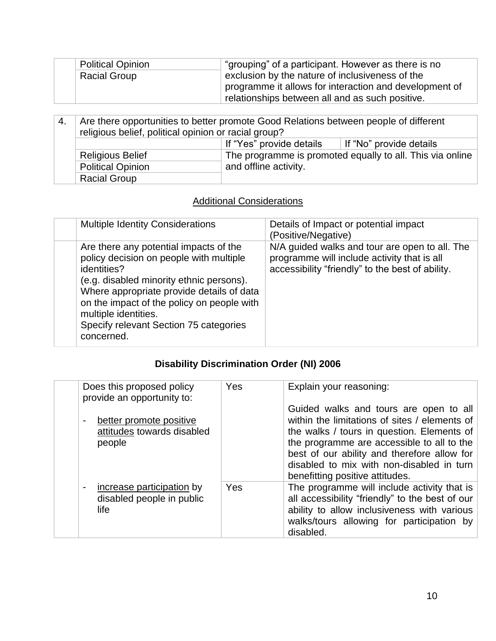| <b>Political Opinion</b> | "grouping" of a participant. However as there is no    |
|--------------------------|--------------------------------------------------------|
| <b>Racial Group</b>      | exclusion by the nature of inclusiveness of the        |
|                          | programme it allows for interaction and development of |
|                          | relationships between all and as such positive.        |

| -4.                     | Are there opportunities to better promote Good Relations between people of different<br>religious belief, political opinion or racial group? |                                                           |  |
|-------------------------|----------------------------------------------------------------------------------------------------------------------------------------------|-----------------------------------------------------------|--|
|                         | If "No" provide details                                                                                                                      |                                                           |  |
| <b>Religious Belief</b> |                                                                                                                                              | The programme is promoted equally to all. This via online |  |
|                         | <b>Political Opinion</b>                                                                                                                     | and offline activity.                                     |  |
| <b>Racial Group</b>     |                                                                                                                                              |                                                           |  |

### **Additional Considerations**

| <b>Multiple Identity Considerations</b>                                                                                                                                                                                                                                                                                 | Details of Impact or potential impact<br>(Positive/Negative)                                                                                      |
|-------------------------------------------------------------------------------------------------------------------------------------------------------------------------------------------------------------------------------------------------------------------------------------------------------------------------|---------------------------------------------------------------------------------------------------------------------------------------------------|
| Are there any potential impacts of the<br>policy decision on people with multiple<br>identities?<br>(e.g. disabled minority ethnic persons).<br>Where appropriate provide details of data<br>on the impact of the policy on people with<br>multiple identities.<br>Specify relevant Section 75 categories<br>concerned. | N/A guided walks and tour are open to all. The<br>programme will include activity that is all<br>accessibility "friendly" to the best of ability. |

## **Disability Discrimination Order (NI) 2006**

| Does this proposed policy<br>provide an opportunity to:                                        | Yes | Explain your reasoning:                                                                                                                                                                                                                                                                                            |
|------------------------------------------------------------------------------------------------|-----|--------------------------------------------------------------------------------------------------------------------------------------------------------------------------------------------------------------------------------------------------------------------------------------------------------------------|
| better promote positive<br>attitudes towards disabled<br>people                                |     | Guided walks and tours are open to all<br>within the limitations of sites / elements of<br>the walks / tours in question. Elements of<br>the programme are accessible to all to the<br>best of our ability and therefore allow for<br>disabled to mix with non-disabled in turn<br>benefitting positive attitudes. |
| increase participation by<br>$\qquad \qquad \blacksquare$<br>disabled people in public<br>life | Yes | The programme will include activity that is<br>all accessibility "friendly" to the best of our<br>ability to allow inclusiveness with various<br>walks/tours allowing for participation by<br>disabled.                                                                                                            |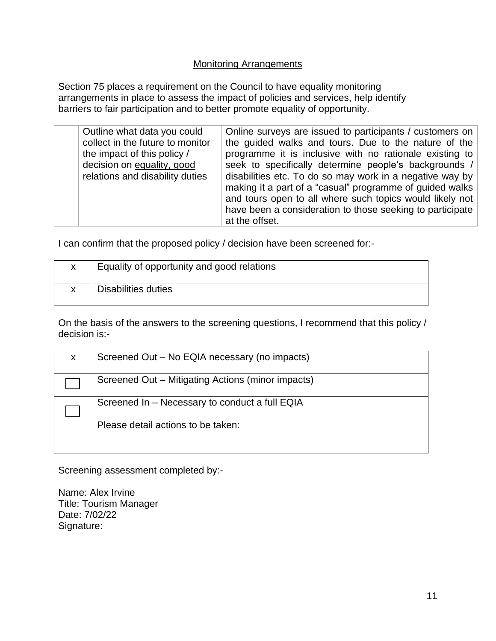### Monitoring Arrangements

Section 75 places a requirement on the Council to have equality monitoring arrangements in place to assess the impact of policies and services, help identify barriers to fair participation and to better promote equality of opportunity.

| Outline what data you could<br>collect in the future to monitor<br>the impact of this policy /<br>decision on equality, good<br>relations and disability duties | Online surveys are issued to participants / customers on<br>the guided walks and tours. Due to the nature of the<br>programme it is inclusive with no rationale existing to<br>seek to specifically determine people's backgrounds /<br>disabilities etc. To do so may work in a negative way by<br>making it a part of a "casual" programme of guided walks<br>and tours open to all where such topics would likely not<br>have been a consideration to those seeking to participate<br>at the offset. |
|-----------------------------------------------------------------------------------------------------------------------------------------------------------------|---------------------------------------------------------------------------------------------------------------------------------------------------------------------------------------------------------------------------------------------------------------------------------------------------------------------------------------------------------------------------------------------------------------------------------------------------------------------------------------------------------|
|-----------------------------------------------------------------------------------------------------------------------------------------------------------------|---------------------------------------------------------------------------------------------------------------------------------------------------------------------------------------------------------------------------------------------------------------------------------------------------------------------------------------------------------------------------------------------------------------------------------------------------------------------------------------------------------|

I can confirm that the proposed policy / decision have been screened for:-

| X | Equality of opportunity and good relations |
|---|--------------------------------------------|
| X | Disabilities duties                        |

On the basis of the answers to the screening questions, I recommend that this policy / decision is:-

| X. | Screened Out – No EQIA necessary (no impacts)     |
|----|---------------------------------------------------|
|    | Screened Out - Mitigating Actions (minor impacts) |
|    | Screened In - Necessary to conduct a full EQIA    |
|    | Please detail actions to be taken:                |

Screening assessment completed by:-

Name: Alex Irvine Title: Tourism Manager Date: 7/02/22 Signature: